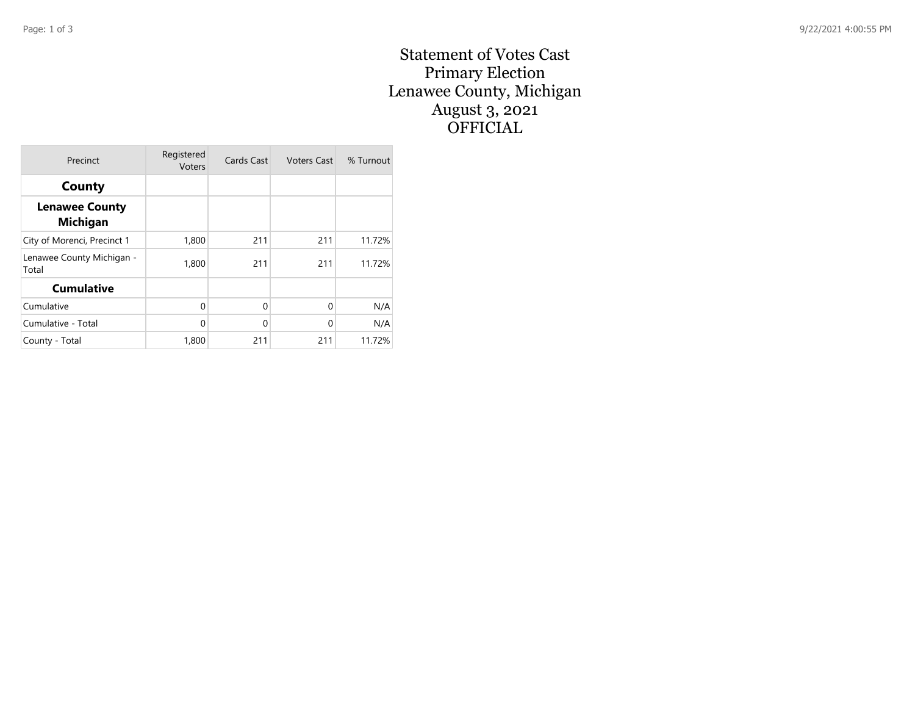## Statement of Votes Cast Primary Election Lenawee County, Michigan August 3, 2021 OFFICIAL

| Precinct                                 | Registered<br><b>Voters</b> | Cards Cast  | <b>Voters Cast</b> | % Turnout |
|------------------------------------------|-----------------------------|-------------|--------------------|-----------|
| County                                   |                             |             |                    |           |
| <b>Lenawee County</b><br><b>Michigan</b> |                             |             |                    |           |
| City of Morenci, Precinct 1              | 1,800                       | 211         | 211                | 11.72%    |
| Lenawee County Michigan -<br>Total       | 1,800                       | 211         | 211                | 11.72%    |
| <b>Cumulative</b>                        |                             |             |                    |           |
| Cumulative                               | $\Omega$                    | $\mathbf 0$ | $\Omega$           | N/A       |
| Cumulative - Total                       | 0                           | $\mathbf 0$ | $\Omega$           | N/A       |
| County - Total                           | 1,800                       | 211         | 211                | 11.72%    |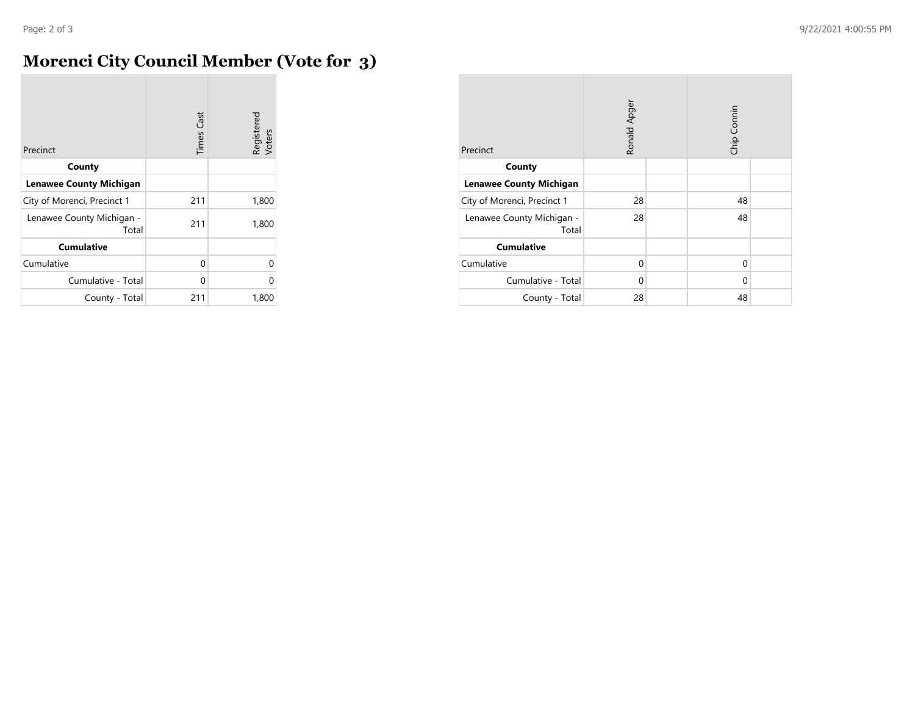## **Morenci City Council Member (Vote for 3)**

| Precinct                           | <b>Times Cast</b> | Registered<br>Voters |
|------------------------------------|-------------------|----------------------|
| County                             |                   |                      |
| <b>Lenawee County Michigan</b>     |                   |                      |
| City of Morenci, Precinct 1        | 211               | 1,800                |
| Lenawee County Michigan -<br>Total | 211               | 1,800                |
| <b>Cumulative</b>                  |                   |                      |
| Cumulative                         | 0                 | 0                    |
| Cumulative - Total                 | 0                 | 0                    |
| County - Total                     | 211               | 1,800                |

| Precinct                           | Ronald Apger |  | Chip Connin |  |  |
|------------------------------------|--------------|--|-------------|--|--|
| County                             |              |  |             |  |  |
| <b>Lenawee County Michigan</b>     |              |  |             |  |  |
| City of Morenci, Precinct 1        | 28           |  | 48          |  |  |
| Lenawee County Michigan -<br>Total | 28           |  | 48          |  |  |
| <b>Cumulative</b>                  |              |  |             |  |  |
| Cumulative                         | 0            |  | 0           |  |  |
| Cumulative - Total                 | 0            |  | 0           |  |  |
| County - Total                     | 28           |  | 48          |  |  |